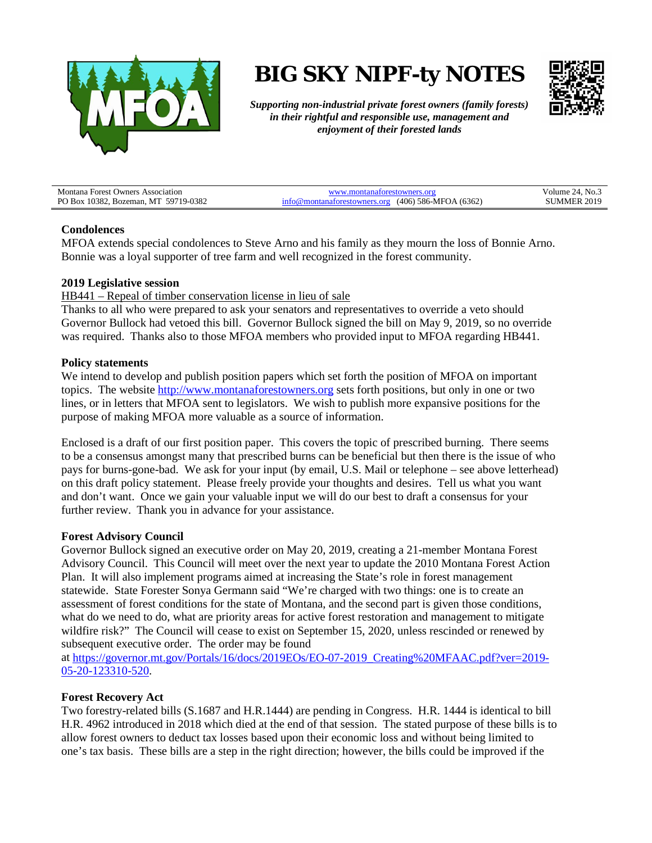

# **BIG SKY NIPF-ty NOTES**



*Supporting non-industrial private forest owners (family forests) in their rightful and responsible use, management and enjoyment of their forested lands*

| Montana<br>Association<br>Forest<br>* Owners                          | w                                                               | <sup>1</sup> , No.<br>olume   |
|-----------------------------------------------------------------------|-----------------------------------------------------------------|-------------------------------|
| P <sub>O</sub><br>/19-0382<br>.0382<br>M7<br>-591<br>) Box<br>Bozeman | (6362)<br>586-MFC.<br>(406<br>or:<br>(JA<br>лж<br>7111<br>6 Y T | $\cdot$ 201<br>. MMEP .<br>`` |

## **Condolences**

MFOA extends special condolences to Steve Arno and his family as they mourn the loss of Bonnie Arno. Bonnie was a loyal supporter of tree farm and well recognized in the forest community.

#### **2019 Legislative session**

HB441 – Repeal of timber conservation license in lieu of sale

Thanks to all who were prepared to ask your senators and representatives to override a veto should Governor Bullock had vetoed this bill. Governor Bullock signed the bill on May 9, 2019, so no override was required. Thanks also to those MFOA members who provided input to MFOA regarding HB441.

#### **Policy statements**

We intend to develop and publish position papers which set forth the position of MFOA on important topics. The website [http://www.montanaforestowners.org](http://www.montanaforestowners.org/) sets forth positions, but only in one or two lines, or in letters that MFOA sent to legislators. We wish to publish more expansive positions for the purpose of making MFOA more valuable as a source of information.

Enclosed is a draft of our first position paper. This covers the topic of prescribed burning. There seems to be a consensus amongst many that prescribed burns can be beneficial but then there is the issue of who pays for burns-gone-bad. We ask for your input (by email, U.S. Mail or telephone – see above letterhead) on this draft policy statement. Please freely provide your thoughts and desires. Tell us what you want and don't want. Once we gain your valuable input we will do our best to draft a consensus for your further review. Thank you in advance for your assistance.

## **Forest Advisory Council**

Governor Bullock signed an executive order on May 20, 2019, creating a 21-member Montana Forest Advisory Council. This Council will meet over the next year to update the 2010 Montana Forest Action Plan. It will also implement programs aimed at increasing the State's role in forest management statewide. State Forester Sonya Germann said "We're charged with two things: one is to create an assessment of forest conditions for the state of Montana, and the second part is given those conditions, what do we need to do, what are priority areas for active forest restoration and management to mitigate wildfire risk?" The Council will cease to exist on September 15, 2020, unless rescinded or renewed by subsequent executive order. The order may be found

at [https://governor.mt.gov/Portals/16/docs/2019EOs/EO-07-2019\\_Creating%20MFAAC.pdf?ver=2019-](https://governor.mt.gov/Portals/16/docs/2019EOs/EO-07-2019_Creating%20MFAAC.pdf?ver=2019-05-20-123310-520) [05-20-123310-520.](https://governor.mt.gov/Portals/16/docs/2019EOs/EO-07-2019_Creating%20MFAAC.pdf?ver=2019-05-20-123310-520)

## **Forest Recovery Act**

Two forestry-related bills (S.1687 and H.R.1444) are pending in Congress. H.R. 1444 is identical to bill H.R. 4962 introduced in 2018 which died at the end of that session. The stated purpose of these bills is to allow forest owners to deduct tax losses based upon their economic loss and without being limited to one's tax basis. These bills are a step in the right direction; however, the bills could be improved if the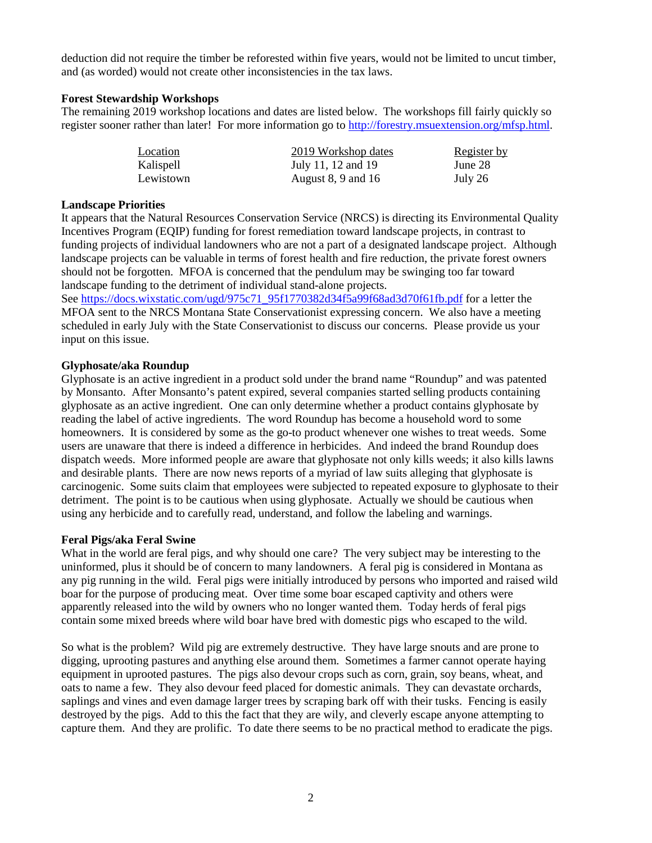deduction did not require the timber be reforested within five years, would not be limited to uncut timber, and (as worded) would not create other inconsistencies in the tax laws.

## **Forest Stewardship Workshops**

The remaining 2019 workshop locations and dates are listed below. The workshops fill fairly quickly so register sooner rather than later! For more information go to [http://forestry.msuextension.org/mfsp.html.](http://forestry.msuextension.org/mfsp.html)

| Location  | 2019 Workshop dates    | Register by |
|-----------|------------------------|-------------|
| Kalispell | July 11, 12 and 19     | June 28     |
| Lewistown | August $8, 9$ and $16$ | July 26     |

## **Landscape Priorities**

It appears that the Natural Resources Conservation Service (NRCS) is directing its Environmental Quality Incentives Program (EQIP) funding for forest remediation toward landscape projects, in contrast to funding projects of individual landowners who are not a part of a designated landscape project. Although landscape projects can be valuable in terms of forest health and fire reduction, the private forest owners should not be forgotten. MFOA is concerned that the pendulum may be swinging too far toward landscape funding to the detriment of individual stand-alone projects.

See [https://docs.wixstatic.com/ugd/975c71\\_95f1770382d34f5a99f68ad3d70f61fb.pdf](https://docs.wixstatic.com/ugd/975c71_95f1770382d34f5a99f68ad3d70f61fb.pdf) for a letter the MFOA sent to the NRCS Montana State Conservationist expressing concern. We also have a meeting scheduled in early July with the State Conservationist to discuss our concerns. Please provide us your input on this issue.

# **Glyphosate/aka Roundup**

Glyphosate is an active ingredient in a product sold under the brand name "Roundup" and was patented by Monsanto. After Monsanto's patent expired, several companies started selling products containing glyphosate as an active ingredient. One can only determine whether a product contains glyphosate by reading the label of active ingredients. The word Roundup has become a household word to some homeowners. It is considered by some as the go-to product whenever one wishes to treat weeds. Some users are unaware that there is indeed a difference in herbicides. And indeed the brand Roundup does dispatch weeds. More informed people are aware that glyphosate not only kills weeds; it also kills lawns and desirable plants. There are now news reports of a myriad of law suits alleging that glyphosate is carcinogenic. Some suits claim that employees were subjected to repeated exposure to glyphosate to their detriment. The point is to be cautious when using glyphosate. Actually we should be cautious when using any herbicide and to carefully read, understand, and follow the labeling and warnings.

## **Feral Pigs/aka Feral Swine**

What in the world are feral pigs, and why should one care? The very subject may be interesting to the uninformed, plus it should be of concern to many landowners. A feral pig is considered in Montana as any pig running in the wild. Feral pigs were initially introduced by persons who imported and raised wild boar for the purpose of producing meat. Over time some boar escaped captivity and others were apparently released into the wild by owners who no longer wanted them. Today herds of feral pigs contain some mixed breeds where wild boar have bred with domestic pigs who escaped to the wild.

So what is the problem? Wild pig are extremely destructive. They have large snouts and are prone to digging, uprooting pastures and anything else around them. Sometimes a farmer cannot operate haying equipment in uprooted pastures. The pigs also devour crops such as corn, grain, soy beans, wheat, and oats to name a few. They also devour feed placed for domestic animals. They can devastate orchards, saplings and vines and even damage larger trees by scraping bark off with their tusks. Fencing is easily destroyed by the pigs. Add to this the fact that they are wily, and cleverly escape anyone attempting to capture them. And they are prolific. To date there seems to be no practical method to eradicate the pigs.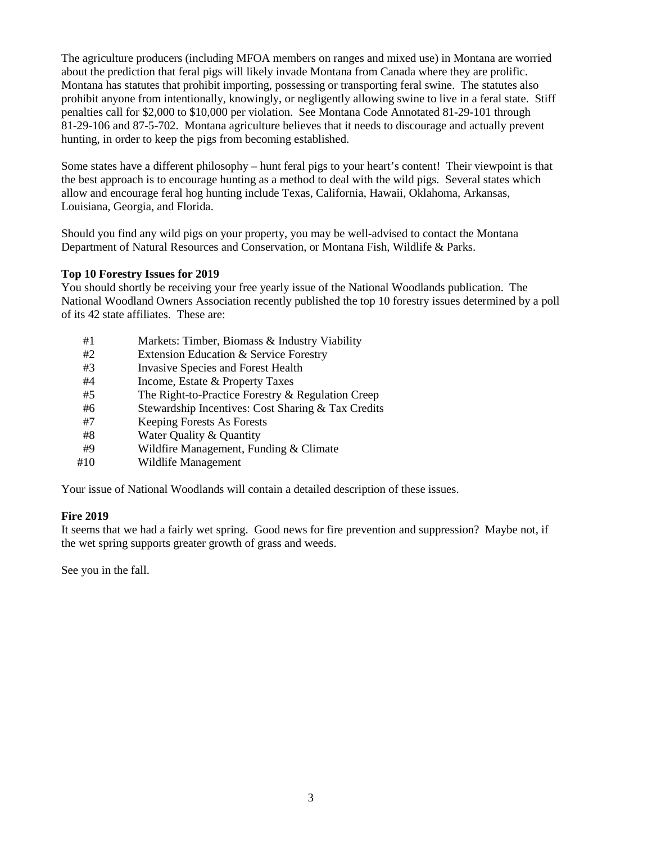The agriculture producers (including MFOA members on ranges and mixed use) in Montana are worried about the prediction that feral pigs will likely invade Montana from Canada where they are prolific. Montana has statutes that prohibit importing, possessing or transporting feral swine. The statutes also prohibit anyone from intentionally, knowingly, or negligently allowing swine to live in a feral state. Stiff penalties call for \$2,000 to \$10,000 per violation. See Montana Code Annotated 81-29-101 through 81-29-106 and 87-5-702. Montana agriculture believes that it needs to discourage and actually prevent hunting, in order to keep the pigs from becoming established.

Some states have a different philosophy – hunt feral pigs to your heart's content! Their viewpoint is that the best approach is to encourage hunting as a method to deal with the wild pigs. Several states which allow and encourage feral hog hunting include Texas, California, Hawaii, Oklahoma, Arkansas, Louisiana, Georgia, and Florida.

Should you find any wild pigs on your property, you may be well-advised to contact the Montana Department of Natural Resources and Conservation, or Montana Fish, Wildlife & Parks.

# **Top 10 Forestry Issues for 2019**

You should shortly be receiving your free yearly issue of the National Woodlands publication. The National Woodland Owners Association recently published the top 10 forestry issues determined by a poll of its 42 state affiliates. These are:

- #1 Markets: Timber, Biomass & Industry Viability
- #2 Extension Education & Service Forestry
- #3 Invasive Species and Forest Health
- #4 Income, Estate & Property Taxes
- #5 The Right-to-Practice Forestry & Regulation Creep
- #6 Stewardship Incentives: Cost Sharing & Tax Credits
- #7 Keeping Forests As Forests
- #8 Water Quality & Quantity
- #9 Wildfire Management, Funding & Climate
- #10 Wildlife Management

Your issue of National Woodlands will contain a detailed description of these issues.

## **Fire 2019**

It seems that we had a fairly wet spring. Good news for fire prevention and suppression? Maybe not, if the wet spring supports greater growth of grass and weeds.

See you in the fall.